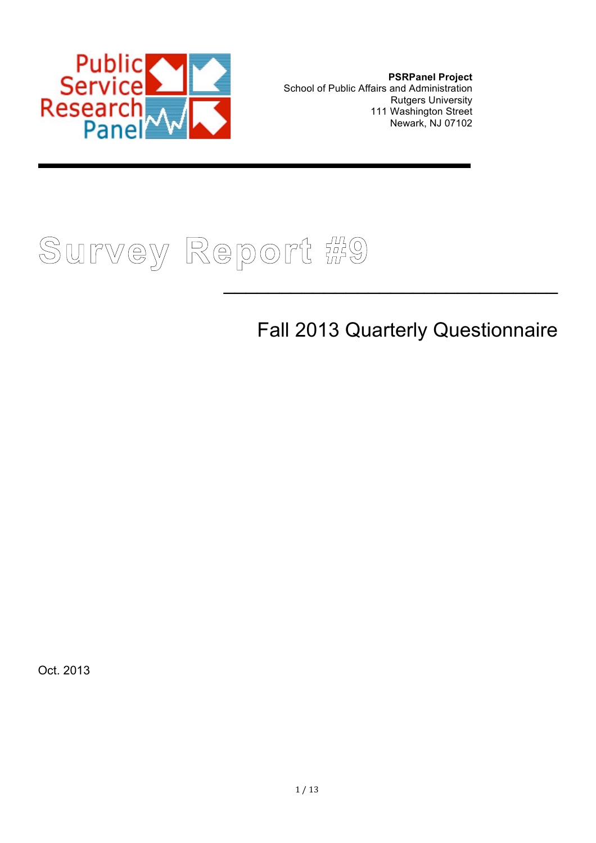

**PSRPanel Project** School of Public Affairs and Administration Rutgers University 111 Washington Street Newark, NJ 07102



# Fall 2013 Quarterly Questionnaire

 $\mathcal{L}_\text{max}$  and  $\mathcal{L}_\text{max}$  and  $\mathcal{L}_\text{max}$  and  $\mathcal{L}_\text{max}$ 

Oct. 2013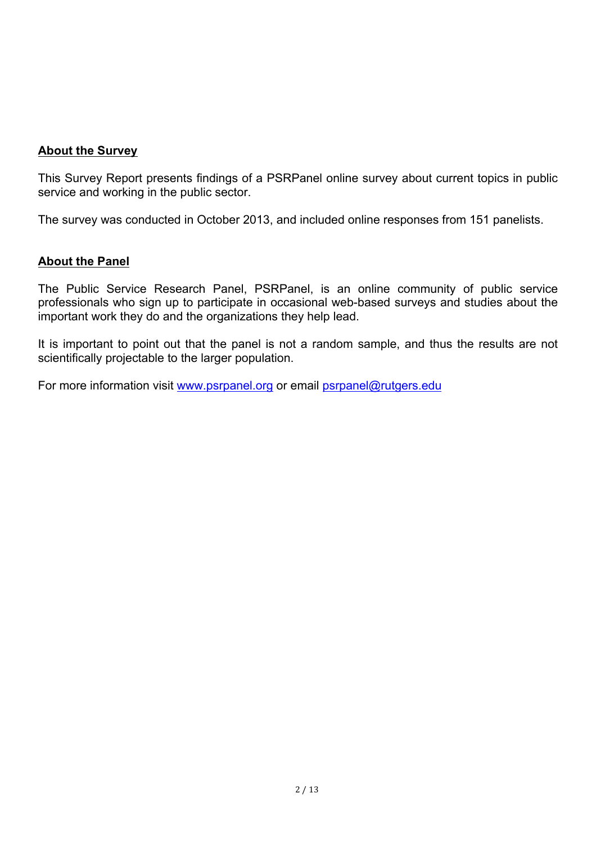#### **About the Survey**

This Survey Report presents findings of a PSRPanel online survey about current topics in public service and working in the public sector.

The survey was conducted in October 2013, and included online responses from 151 panelists.

#### **About the Panel**

The Public Service Research Panel, PSRPanel, is an online community of public service professionals who sign up to participate in occasional web-based surveys and studies about the important work they do and the organizations they help lead.

It is important to point out that the panel is not a random sample, and thus the results are not scientifically projectable to the larger population.

For more information visit www.psrpanel.org or email psrpanel@rutgers.edu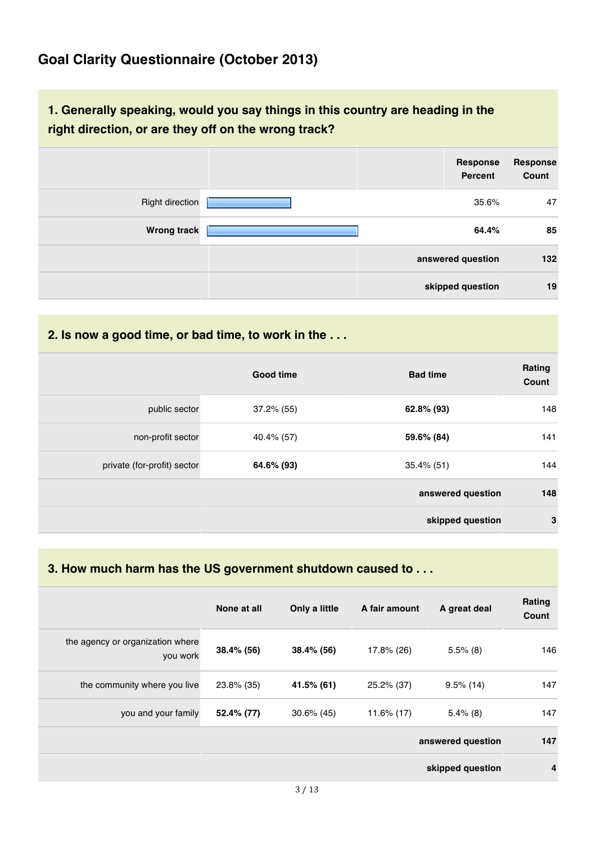### **Goal Clarity Questionnaire (October 2013)**

### **1. Generally speaking, would you say things in this country are heading in the right direction, or are they off on the wrong track?**

|                        | Response<br>Percent | <b>Response</b><br>Count |
|------------------------|---------------------|--------------------------|
| <b>Right direction</b> | 35.6%               | 47                       |
| <b>Wrong track</b>     | 64.4%               | 85                       |
|                        | answered question   | 132                      |
|                        | skipped question    | 19                       |

**2. Is now a good time, or bad time, to work in the . . .**

|                             | <b>Good time</b> | <b>Bad time</b>   | Rating<br>Count |
|-----------------------------|------------------|-------------------|-----------------|
| public sector               | $37.2\%$ (55)    | 62.8% (93)        | 148             |
| non-profit sector           | 40.4% (57)       | 59.6% (84)        | 141             |
| private (for-profit) sector | 64.6% (93)       | $35.4\%$ (51)     | 144             |
|                             |                  | answered question | 148             |
|                             |                  | skipped question  | $\mathbf{3}$    |

#### **3. How much harm has the US government shutdown caused to . . .**

|                                              | None at all | Only a little | A fair amount | A great deal      | Rating<br>Count |
|----------------------------------------------|-------------|---------------|---------------|-------------------|-----------------|
| the agency or organization where<br>you work | 38.4% (56)  | 38.4% (56)    | 17.8% (26)    | $5.5\%$ (8)       | 146             |
| the community where you live                 | 23.8% (35)  | 41.5% (61)    | 25.2% (37)    | $9.5\%$ (14)      | 147             |
| you and your family                          | 52.4% (77)  | $30.6\%$ (45) | 11.6% (17)    | $5.4\%$ (8)       | 147             |
|                                              |             |               |               | answered question | 147             |
|                                              |             |               |               | skipped question  | $\overline{4}$  |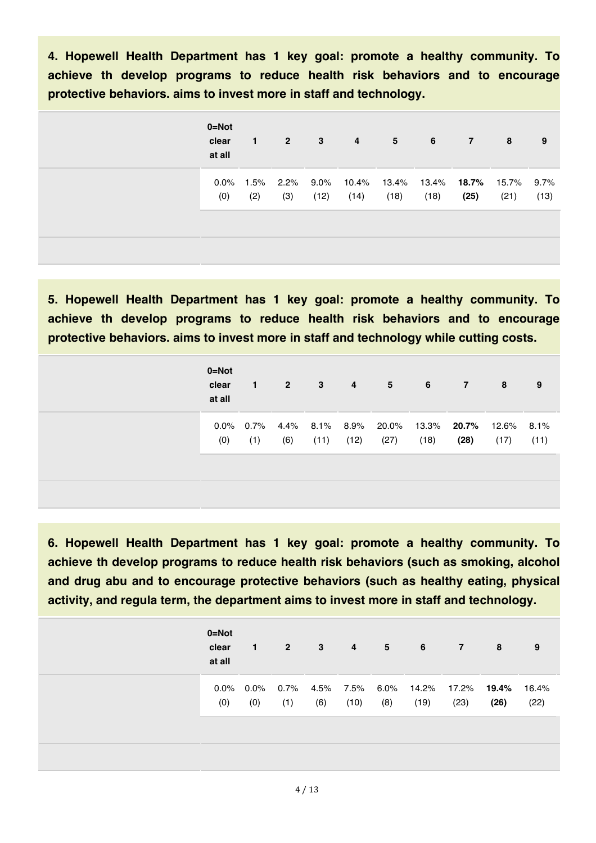**4. Hopewell Health Department has 1 key goal: promote a healthy community. To achieve th develop programs to reduce health risk behaviors and to encourage protective behaviors. aims to invest more in staff and technology.**

| $0 = Not$<br>clear<br>at all | 1       | $\sqrt{2}$ | 3    | $\overline{4}$ | $5^{\circ}$                                         | 6    | $\mathbf{7}$ | 8    | 9    |
|------------------------------|---------|------------|------|----------------|-----------------------------------------------------|------|--------------|------|------|
| $0.0\%$                      | $1.5\%$ |            |      |                | 2.2% 9.0% 10.4% 13.4% 13.4% <b>18.7%</b> 15.7% 9.7% |      |              |      |      |
| (0)                          | (2)     | (3)        | (12) | (14)           | (18)                                                | (18) | (25)         | (21) | (13) |
|                              |         |            |      |                |                                                     |      |              |      |      |

**5. Hopewell Health Department has 1 key goal: promote a healthy community. To achieve th develop programs to reduce health risk behaviors and to encourage protective behaviors. aims to invest more in staff and technology while cutting costs.**

| $0 = Not$<br>clear<br>at all | 1.               | $\overline{2}$ | -3   | $\overline{4}$         | 5                                      | 6    | $\overline{7}$ | 8    | 9            |
|------------------------------|------------------|----------------|------|------------------------|----------------------------------------|------|----------------|------|--------------|
| (0)                          | 0.0% 0.7%<br>(1) | (6)            | (11) | 4.4% 8.1% 8.9%<br>(12) | 20.0% 13.3% <b>20.7%</b> 12.6%<br>(27) | (18) | (28)           | (17) | 8.1%<br>(11) |
|                              |                  |                |      |                        |                                        |      |                |      |              |

**6. Hopewell Health Department has 1 key goal: promote a healthy community. To achieve th develop programs to reduce health risk behaviors (such as smoking, alcohol and drug abu and to encourage protective behaviors (such as healthy eating, physical activity, and regula term, the department aims to invest more in staff and technology.**

| $0 = Not$<br>clear<br>at all | 1                   | $\sqrt{2}$ | $\mathbf{3}$ | $\overline{4}$ | 5 <sup>5</sup> | $6\overline{6}$                                         | $\overline{7}$ | 8    | 9             |
|------------------------------|---------------------|------------|--------------|----------------|----------------|---------------------------------------------------------|----------------|------|---------------|
| (0)                          | $0.0\%$ 0.0%<br>(0) | (1)        | (6)          | (10)           | (8)            | $0.7\%$ 4.5% 7.5% 6.0% 14.2% 17.2% <b>19.4%</b><br>(19) | (23)           | (26) | 16.4%<br>(22) |
|                              |                     |            |              |                |                |                                                         |                |      |               |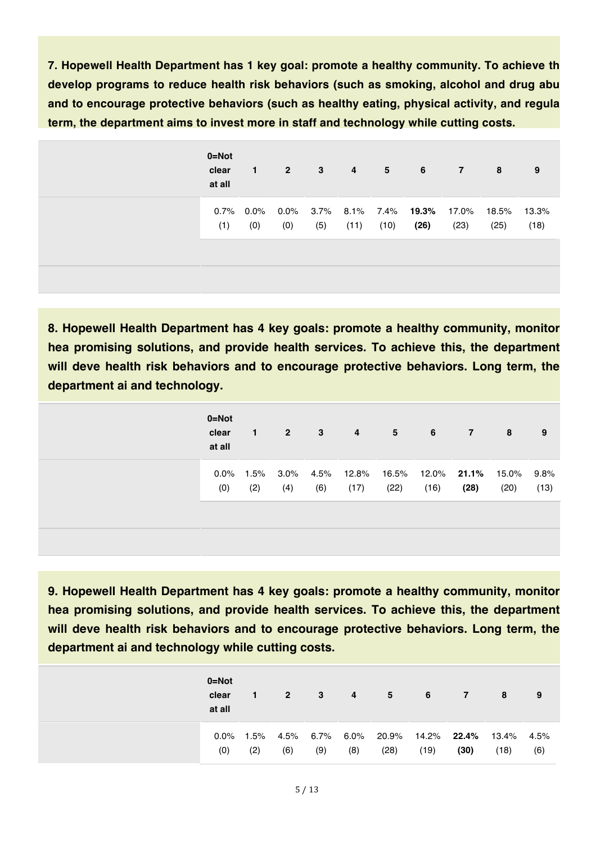**7. Hopewell Health Department has 1 key goal: promote a healthy community. To achieve th develop programs to reduce health risk behaviors (such as smoking, alcohol and drug abu and to encourage protective behaviors (such as healthy eating, physical activity, and regula term, the department aims to invest more in staff and technology while cutting costs.**

| $0 = Not$ | clear<br>at all | $\leq 1$ | $2^{\circ}$ | 3   | $\overline{4}$ | $5\qquad 6$ |      | $\overline{7}$ | 8                                                       | 9             |
|-----------|-----------------|----------|-------------|-----|----------------|-------------|------|----------------|---------------------------------------------------------|---------------|
|           | (1)             | (0)      | (0)         | (5) | (11)           | (10)        | (26) | (23)           | 0.7% 0.0% 0.0% 3.7% 8.1% 7.4% 19.3% 17.0% 18.5%<br>(25) | 13.3%<br>(18) |
|           |                 |          |             |     |                |             |      |                |                                                         |               |

**8. Hopewell Health Department has 4 key goals: promote a healthy community, monitor hea promising solutions, and provide health services. To achieve this, the department will deve health risk behaviors and to encourage protective behaviors. Long term, the department ai and technology.**

| $0 = Not$<br>clear<br>at all | $\mathbf{1}$ | $\overline{2}$ | 3   | 4                                                   | $-5$ | 6    | - 7 - | 8                  | 9    |
|------------------------------|--------------|----------------|-----|-----------------------------------------------------|------|------|-------|--------------------|------|
| $0.0\%$<br>(0)               | 1.5%<br>(2)  | (4)            | (6) | $3.0\%$ 4.5% 12.8% 16.5% 12.0% <b>21.1%</b><br>(17) | (22) | (16) | (28)  | 15.0% 9.8%<br>(20) | (13) |
|                              |              |                |     |                                                     |      |      |       |                    |      |

**9. Hopewell Health Department has 4 key goals: promote a healthy community, monitor hea promising solutions, and provide health services. To achieve this, the department will deve health risk behaviors and to encourage protective behaviors. Long term, the department ai and technology while cutting costs.**

| $0 = Not$<br>clear<br>at all |             | 2 <sup>7</sup> | $\mathbf{3}$ | 4                | 5             | - 6  | $\overline{7}$                   | 8    | 9           |
|------------------------------|-------------|----------------|--------------|------------------|---------------|------|----------------------------------|------|-------------|
| $0.0\%$<br>(0)               | 1.5%<br>(2) | 4.5%<br>(6)    | (9)          | 6.7% 6.0%<br>(8) | 20.9%<br>(28) | (19) | 14.2% <b>22.4%</b> 13.4%<br>(30) | (18) | 4.5%<br>(6) |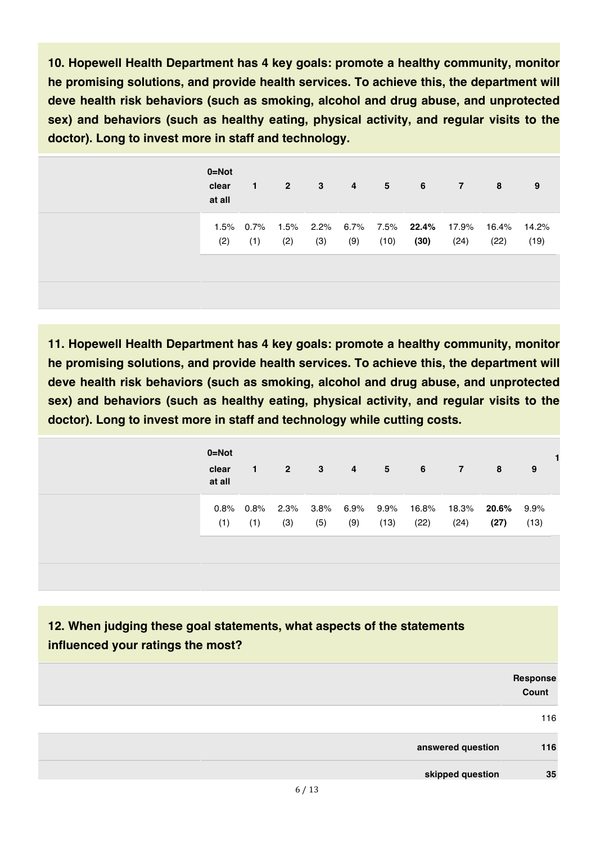**10. Hopewell Health Department has 4 key goals: promote a healthy community, monitor he promising solutions, and provide health services. To achieve this, the department will deve health risk behaviors (such as smoking, alcohol and drug abuse, and unprotected sex) and behaviors (such as healthy eating, physical activity, and regular visits to the doctor). Long to invest more in staff and technology.**

| $0 = Not$<br>clear<br>at all | $\mathbf{1}$ | $\sim$ 2 $\sim$ | $\overline{\mathbf{3}}$ |     | 4 5  | $\overline{\phantom{a}}$ 6                               | $\overline{7}$ | 8             | 9             |
|------------------------------|--------------|-----------------|-------------------------|-----|------|----------------------------------------------------------|----------------|---------------|---------------|
| (2)                          | (1)          | (2)             | (3)                     | (9) | (10) | 1.5% 0.7% 1.5% 2.2% 6.7% 7.5% <b>22.4%</b> 17.9%<br>(30) | (24)           | 16.4%<br>(22) | 14.2%<br>(19) |
|                              |              |                 |                         |     |      |                                                          |                |               |               |

**11. Hopewell Health Department has 4 key goals: promote a healthy community, monitor he promising solutions, and provide health services. To achieve this, the department will deve health risk behaviors (such as smoking, alcohol and drug abuse, and unprotected sex) and behaviors (such as healthy eating, physical activity, and regular visits to the doctor). Long to invest more in staff and technology while cutting costs.**

| $0 = Not$<br>clear<br>at all | 1.                  | $\overline{2}$ | 3              | 4              | $5^{\circ}$  | - 6           | 7             | 8             | 9               |
|------------------------------|---------------------|----------------|----------------|----------------|--------------|---------------|---------------|---------------|-----------------|
| (1)                          | $0.8\%$ 0.8%<br>(1) | 2.3%<br>(3)    | $3.8\%$<br>(5) | $6.9\%$<br>(9) | 9.9%<br>(13) | 16.8%<br>(22) | 18.3%<br>(24) | 20.6%<br>(27) | $9.9\%$<br>(13) |

**12. When judging these goal statements, what aspects of the statements influenced your ratings the most?**

|                   | Response<br>Count |
|-------------------|-------------------|
|                   | 116               |
| answered question | 116               |
| skipped question  | 35                |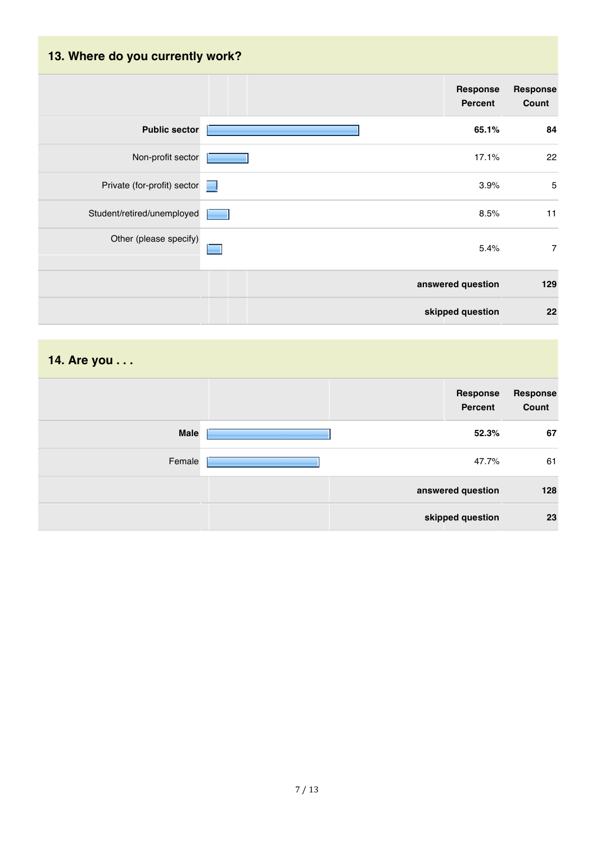# **13. Where do you currently work? Response Response Percent Count Public sector 65.1% 84** Non-profit sector **17.1%** 22 Private (for-profit) sector **1988** 5 Student/retired/unemployed **1** and 11 and 11 and 12 and 12 and 13 and 13 and 14 and 15 and 15 and 11 and 11 and 11 and 11 and 11 and 11 and 12 and 12 and 12 and 12 and 12 and 12 and 12 and 12 and 12 and 12 and 12 and 12 an Other (please specify) 5.4% 7  $\blacksquare$ **answered question 129 skipped question 22**

# **14. Are you . . . Response Response Percent Count Male 52.3% 67** Female 47.7% 61 **answered question 128 skipped question 23**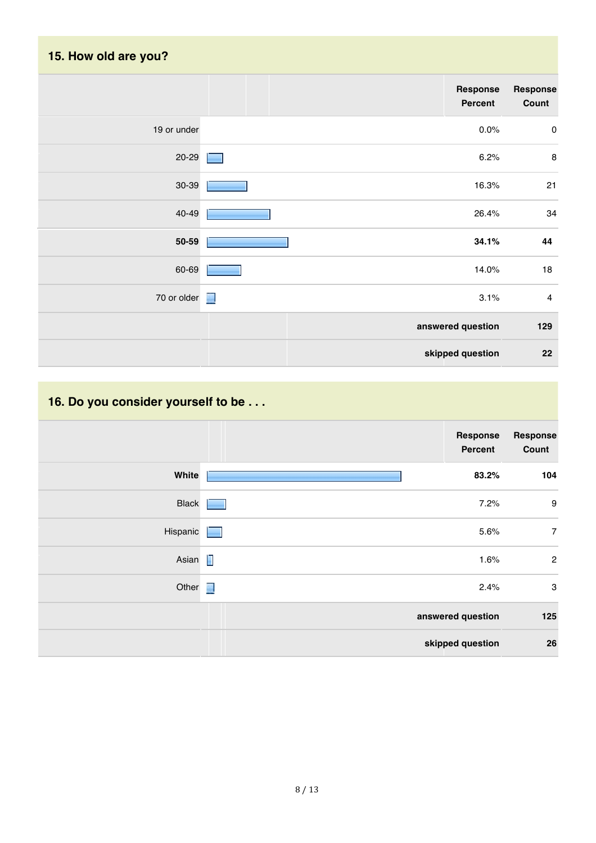| 15. How old are you? |                            |                         |
|----------------------|----------------------------|-------------------------|
|                      | Response<br><b>Percent</b> | Response<br>Count       |
| 19 or under          | 0.0%                       | $\pmb{0}$               |
| 20-29                | 6.2%                       | $\bf 8$                 |
| 30-39                | 16.3%                      | 21                      |
| 40-49                | 26.4%                      | 34                      |
| 50-59                | 34.1%                      | 44                      |
| 60-69                | 14.0%                      | $18\,$                  |
| 70 or older $\Box$   | 3.1%                       | $\overline{\mathbf{4}}$ |
|                      | answered question          | 129                     |
|                      | skipped question           | 22                      |

# **16. Do you consider yourself to be . . .**

|              | Response<br><b>Percent</b> | Response<br>Count         |
|--------------|----------------------------|---------------------------|
| White        | 83.2%                      | 104                       |
| <b>Black</b> | 7.2%                       | $\boldsymbol{9}$          |
| Hispanic     | 5.6%                       | $\overline{7}$            |
| Asian $\Box$ | 1.6%                       | $\overline{2}$            |
| Other $\Box$ | 2.4%                       | $\ensuremath{\mathsf{3}}$ |
|              | answered question          | 125                       |
|              | skipped question           | 26                        |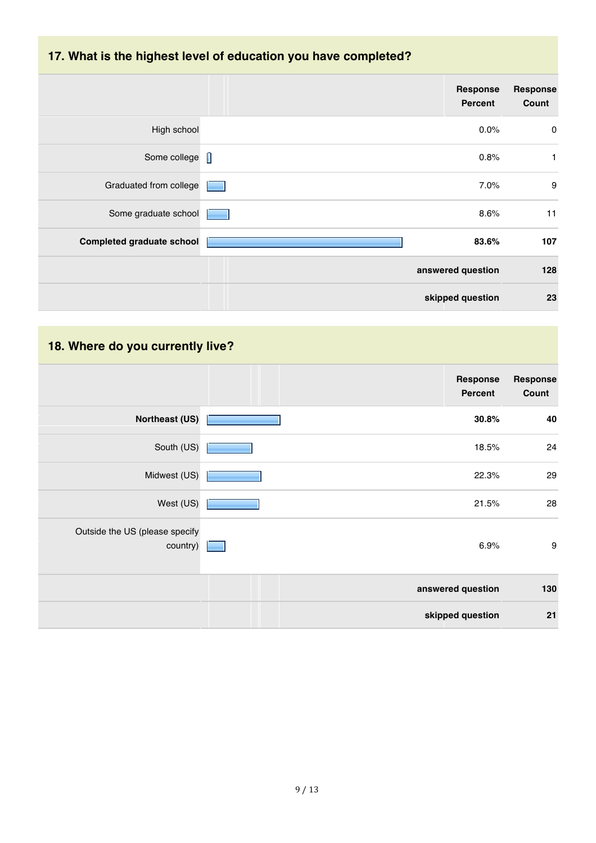## **17. What is the highest level of education you have completed?**

| <b>Response</b><br>Count | <b>Response</b><br>Percent |                                  |
|--------------------------|----------------------------|----------------------------------|
| $\pmb{0}$                | 0.0%                       | High school                      |
| 1                        | 0.8%                       | Some college                     |
| 9                        | 7.0%                       | Graduated from college           |
| 11                       | 8.6%                       | Some graduate school             |
| 107                      | 83.6%                      | <b>Completed graduate school</b> |
| 128                      | answered question          |                                  |
| 23                       | skipped question           |                                  |

## **18. Where do you currently live?**

|                                            | Response<br>Percent | Response<br>Count |
|--------------------------------------------|---------------------|-------------------|
| <b>Northeast (US)</b>                      | 30.8%               | 40                |
| South (US)                                 | 18.5%               | 24                |
| Midwest (US)                               | 22.3%               | 29                |
| West (US)                                  | 21.5%               | 28                |
| Outside the US (please specify<br>country) | 6.9%                | $\boldsymbol{9}$  |
|                                            | answered question   | 130               |
|                                            | skipped question    | 21                |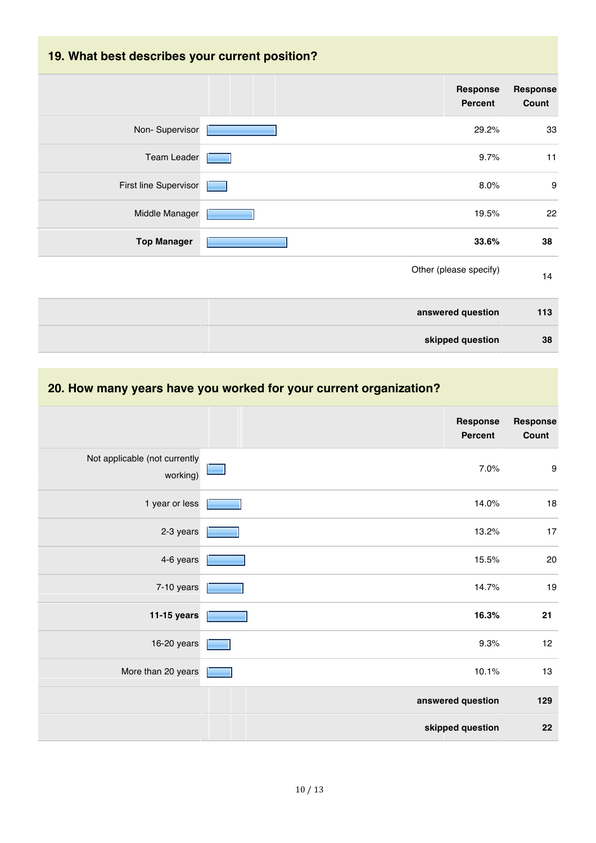# **19. What best describes your current position?**

| Response<br><b>Percent</b>    | <b>Response</b><br>Count |
|-------------------------------|--------------------------|
| Non-Supervisor<br>29.2%       | 33                       |
| <b>Team Leader</b><br>9.7%    | 11                       |
| First line Supervisor<br>8.0% | 9                        |
| Middle Manager<br>19.5%       | 22                       |
| <b>Top Manager</b><br>33.6%   | 38                       |
| Other (please specify)        | 14                       |
| answered question             | 113                      |
| skipped question              | 38                       |

#### **20. How many years have you worked for your current organization?**

|                                           | <b>Response</b><br><b>Percent</b> | <b>Response</b><br>Count |
|-------------------------------------------|-----------------------------------|--------------------------|
| Not applicable (not currently<br>working) | 7.0%                              | $\boldsymbol{9}$         |
| 1 year or less                            | 14.0%                             | $18$                     |
| 2-3 years                                 | 13.2%                             | 17                       |
| 4-6 years                                 | 15.5%                             | $20\,$                   |
| 7-10 years                                | 14.7%                             | $19$                     |
| 11-15 years                               | 16.3%                             | 21                       |
| 16-20 years                               | 9.3%                              | 12                       |
| More than 20 years                        | 10.1%                             | 13                       |
|                                           | answered question                 | 129                      |
|                                           | skipped question                  | 22                       |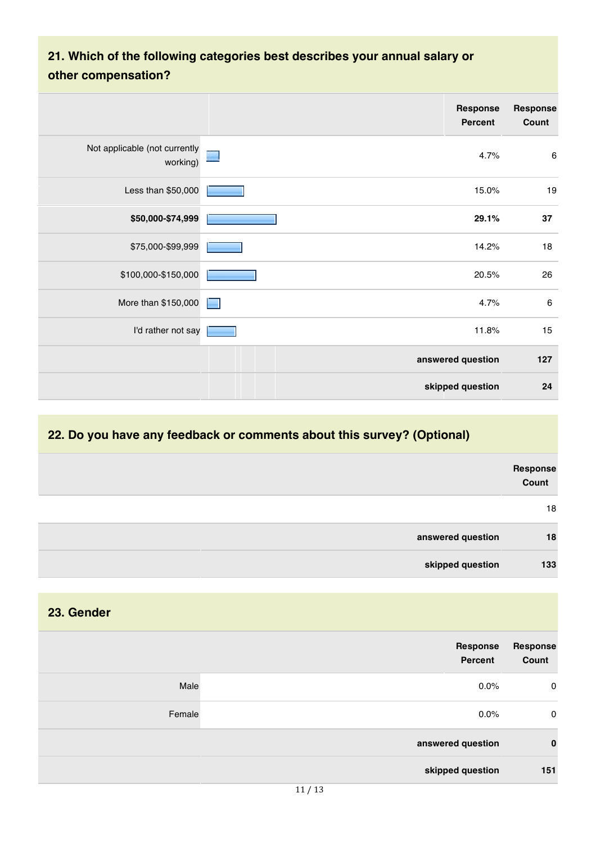## **21. Which of the following categories best describes your annual salary or other compensation?**

|                                           | Response<br><b>Percent</b> | <b>Response</b><br>Count |
|-------------------------------------------|----------------------------|--------------------------|
| Not applicable (not currently<br>working) | 4.7%                       | 6                        |
| Less than \$50,000                        | 15.0%                      | 19                       |
| \$50,000-\$74,999                         | 29.1%                      | 37                       |
| \$75,000-\$99,999                         | 14.2%                      | 18                       |
| \$100,000-\$150,000                       | 20.5%                      | 26                       |
| More than \$150,000                       | 4.7%<br>╾                  | $\,6\,$                  |
| I'd rather not say                        | 11.8%                      | 15                       |
|                                           | answered question          | 127                      |
|                                           | skipped question           | 24                       |

#### **22. Do you have any feedback or comments about this survey? (Optional)**

**23. Gender**

|                   | Response<br>Count |
|-------------------|-------------------|
|                   | 18                |
| answered question | 18                |
| skipped question  | 133               |

| <b>Response</b><br>Count | Response<br>Percent |        |
|--------------------------|---------------------|--------|
| 0                        | 0.0%                | Male   |
| 0                        | $0.0\%$             | Female |
| 0                        | answered question   |        |
| 151                      | skipped question    |        |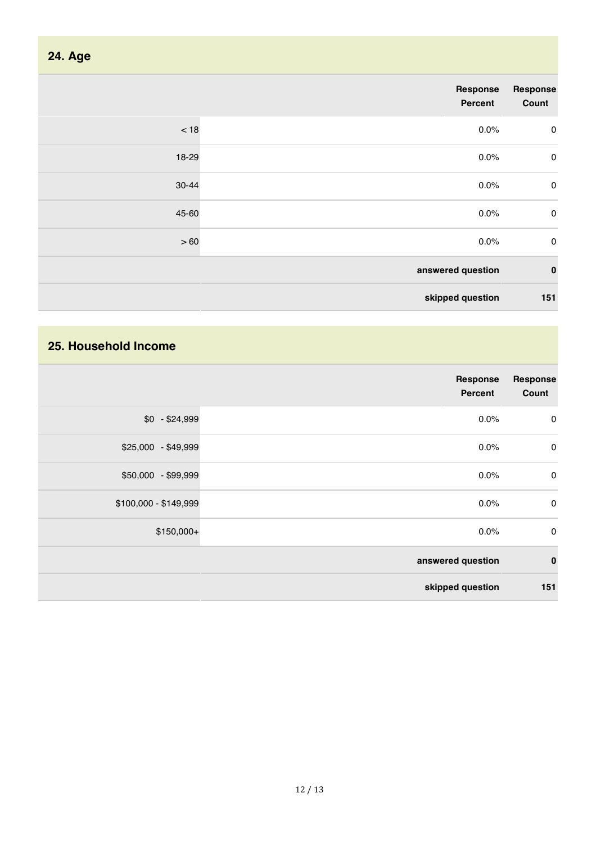| <b>24. Age</b> |                     |                   |
|----------------|---------------------|-------------------|
|                | Response<br>Percent | Response<br>Count |
| $<18$          | 0.0%                | $\mathbf 0$       |
| 18-29          | 0.0%                | $\mathbf 0$       |
| 30-44          | 0.0%                | $\mathbf 0$       |
| 45-60          | 0.0%                | $\pmb{0}$         |
| >60            | 0.0%                | $\pmb{0}$         |
|                | answered question   | $\pmb{0}$         |
|                | skipped question    | 151               |

#### **25. Household Income**

|                       | <b>Response</b><br><b>Percent</b> | <b>Response</b><br>Count |
|-----------------------|-----------------------------------|--------------------------|
| $$0 - $24,999$        | 0.0%                              | $\mathbf 0$              |
| \$25,000 - \$49,999   | 0.0%                              | $\mathbf 0$              |
| \$50,000 - \$99,999   | 0.0%                              | $\mathbf 0$              |
| \$100,000 - \$149,999 | 0.0%                              | $\mathbf 0$              |
| $$150,000+$           | 0.0%                              | $\pmb{0}$                |
|                       | answered question                 | $\bf{0}$                 |
|                       | skipped question                  | 151                      |